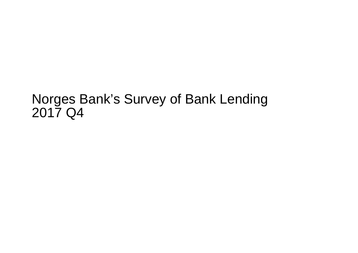## Norges Bank's Survey of Bank Lending2017 Q4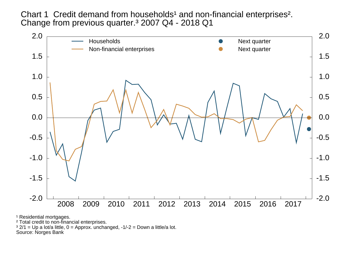Chart 1 Credit demand from households<sup>1</sup> and non-financial enterprises<sup>2</sup>. Change from previous quarter.<sup>3</sup> 2007 Q4 - 2018 Q1



<sup>1</sup> Residential mortgages.

² Total credit to non-financial enterprises.

 $3$  2/1 = Up a lot/a little, 0 = Approx. unchanged, -1/-2 = Down a little/a lot.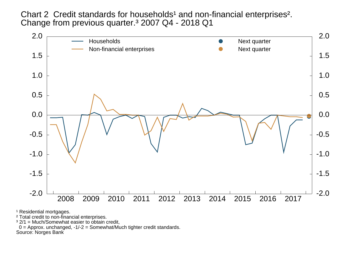Chart 2 Credit standards for households<sup>1</sup> and non-financial enterprises<sup>2</sup>. Change from previous quarter.<sup>3</sup> 2007 Q4 - 2018 Q1



<sup>1</sup> Residential mortgages.

² Total credit to non-financial enterprises.

<sup>3</sup> 2/1 = Much/Somewhat easier to obtain credit,

0 = Approx. unchanged, -1/-2 = Somewhat/Much tighter credit standards.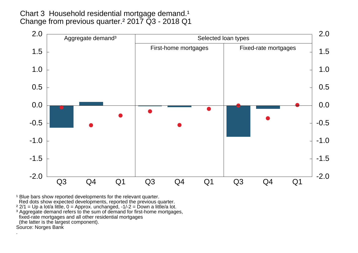Chart 3 Household residential mortgage demand.<sup>1</sup> Change from previous quarter.² 2017 Q3 - 2018 Q1



<sup>1</sup> Blue bars show reported developments for the relevant quarter. Red dots show expected developments, reported the previous quarter.

<sup>2</sup> 2/1 = Up a lot/a little, 0 = Approx. unchanged, -1/-2 = Down a little/a lot.<br><sup>3</sup> Aggregate demand refers to the sum of demand for first-home mortgages, fixed-rate mortgages and all other residential mortgages(the latter is the largest component).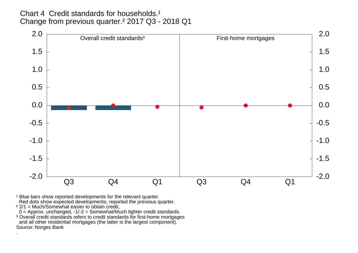Chart 4 Credit standards for households.<sup>1</sup> Change from previous quarter.² 2017 Q3 - 2018 Q1



<sup>1</sup> Blue bars show reported developments for the relevant quarter.<br>Red dots show expected developments, reported the previous quarter.<br><sup>2</sup> 2/1 = Much/Somewhat easier to obtain credit,

0 = Approx. unchanged, -1/-2 = Somewhat/Much tighter credit standards.

<sup>3</sup> Overall credit standards refers to credit standards for first-home mortgages and all other residential mortgages (the latter is the largest component).Source: Norges Bank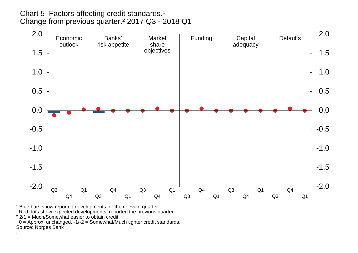## Chart 5 Factors affecting credit standards.<sup>1</sup> Change from previous quarter.² 2017 Q3 - 2018 Q1



<sup>1</sup> Blue bars show reported developments for the relevant quarter.

Red dots show expected developments, reported the previous quarter.

 $22/1$  = Much/Somewhat easier to obtain credit,

 0 = Approx. unchanged, -1/-2 = Somewhat/Much tighter credit standards.Source: Norges Bank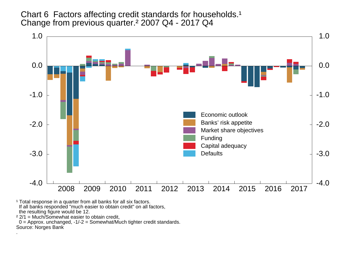Chart 6 Factors affecting credit standards for households.<sup>1</sup> Change from previous quarter.² 2007 Q4 - 2017 Q4



<sup>1</sup> Total response in a quarter from all banks for all six factors. If all banks responded "much easier to obtain credit" on all factors, the resulting figure would be 12.

² 2/1 = Much/Somewhat easier to obtain credit,

 0 = Approx. unchanged, -1/-2 = Somewhat/Much tighter credit standards.Source: Norges Bank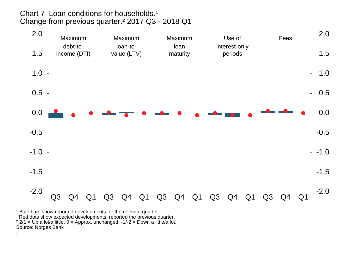Chart 7 Loan conditions for households.<sup>1</sup> Change from previous quarter.² 2017 Q3 - 2018 Q1



<sup>1</sup> Blue bars show reported developments for the relevant quarter. Red dots show expected developments, reported the previous quarter. ² 2/1 = Up a lot/a little, 0 = Approx. unchanged, -1/-2 = Down a little/a lot.Source: Norges Bank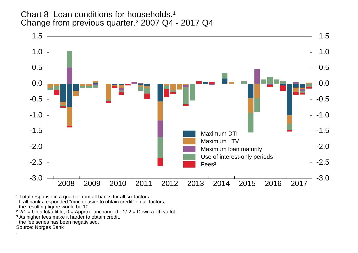Chart 8 Loan conditions for households.<sup>1</sup> Change from previous quarter.² 2007 Q4 - 2017 Q4



<sup>1</sup> Total response in a quarter from all banks for all six factors.<br>If all banks responded "much easier to obtain credit" on all factors, the resulting figure would be 10.

² 2/1 = Up a lot/a little, 0 = Approx. unchanged, -1/-2 = Down a little/a lot.

<sup>3</sup> As higher fees make it harder to obtain credit,

the fee series has been negativised.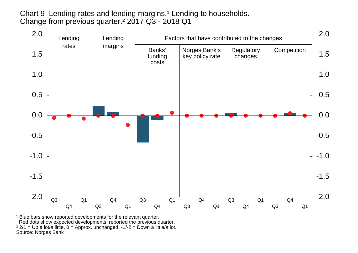Chart 9 Lending rates and lending margins.<sup>1</sup> Lending to households. Change from previous quarter.² 2017 Q3 - 2018 Q1



<sup>1</sup> Blue bars show reported developments for the relevant quarter. Red dots show expected developments, reported the previous quarter. ² 2/1 = Up a lot/a little, 0 = Approx. unchanged, -1/-2 = Down a little/a lot.Source: Norges Bank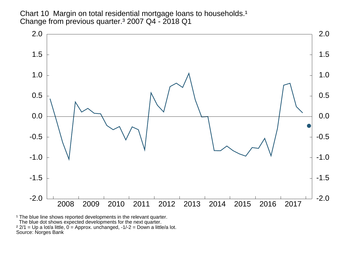Chart 10 Margin on total residential mortgage loans to households.<sup>1</sup> Change from previous quarter.<sup>3</sup> 2007 Q4 - 2018 Q1



<sup>1</sup> The blue line shows reported developments in the relevant quarter. The blue dot shows expected developments for the next quarter. ² 2/1 = Up a lot/a little, 0 = Approx. unchanged, -1/-2 = Down a little/a lot.Source: Norges Bank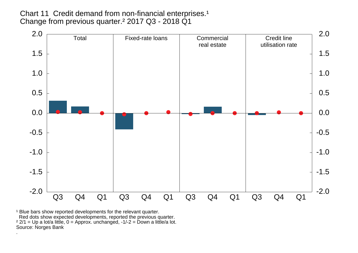Chart 11 Credit demand from non-financial enterprises.<sup>1</sup> Change from previous quarter.² 2017 Q3 - 2018 Q1



<sup>1</sup> Blue bars show reported developments for the relevant quarter. Red dots show expected developments, reported the previous quarter.<br><sup>2</sup> 2/1 = Up a lot/a little, 0 = Approx. unchanged, -1/-2 = Down a little/a lot. Source: Norges Bank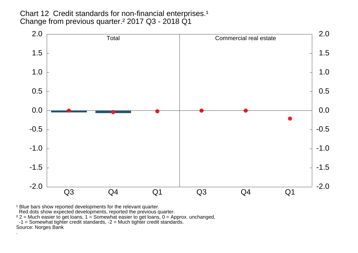Chart 12 Credit standards for non-financial enterprises.<sup>1</sup> Change from previous quarter.² 2017 Q3 - 2018 Q1



<sup>1</sup> Blue bars show reported developments for the relevant quarter.

Red dots show expected developments, reported the previous quarter.

² 2 = Much easier to get loans, 1 = Somewhat easier to get loans, 0 = Approx. unchanged, -1 = Somewhat tighter credit standards, -2 = Much tighter credit standards.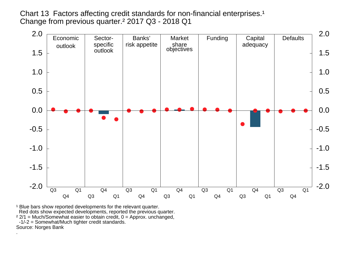Chart 13 Factors affecting credit standards for non-financial enterprises.<sup>1</sup> Change from previous quarter.² 2017 Q3 - 2018 Q1



<sup>1</sup> Blue bars show reported developments for the relevant quarter. Red dots show expected developments, reported the previous quarter. $22/1$  = Much/Somewhat easier to obtain credit,  $0$  = Approx. unchanged, -1/-2 = Somewhat/Much tighter credit standards.Source: Norges Bank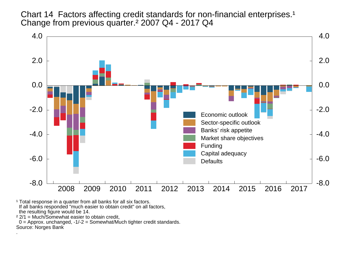Chart 14 Factors affecting credit standards for non-financial enterprises.<sup>1</sup> Change from previous quarter.² 2007 Q4 - 2017 Q4



<sup>1</sup> Total response in a quarter from all banks for all six factors. If all banks responded "much easier to obtain credit" on all factors, the resulting figure would be 14.

² 2/1 = Much/Somewhat easier to obtain credit,

 0 = Approx. unchanged, -1/-2 = Somewhat/Much tighter credit standards.Source: Norges Bank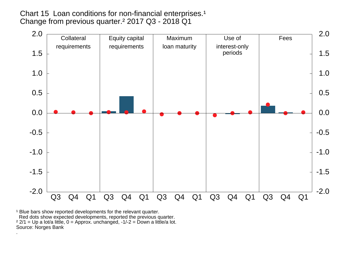Chart 15 Loan conditions for non-financial enterprises.<sup>1</sup> Change from previous quarter.² 2017 Q3 - 2018 Q1



<sup>1</sup> Blue bars show reported developments for the relevant quarter. Red dots show expected developments, reported the previous quarter. ² 2/1 = Up a lot/a little, 0 = Approx. unchanged, -1/-2 = Down a little/a lot.Source: Norges Bank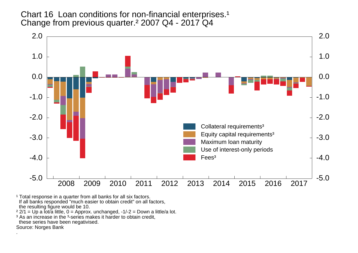Chart 16 Loan conditions for non-financial enterprises.<sup>1</sup> Change from previous quarter.² 2007 Q4 - 2017 Q4



<sup>1</sup> Total response in a quarter from all banks for all six factors. If all banks responded "much easier to obtain credit" on all factors,

the resulting figure would be 10.

² 2/1 = Up a lot/a little, 0 = Approx. unchanged, -1/-2 = Down a little/a lot.

<sup>3</sup> As an increase in the <sup>3</sup>-series makes it harder to obtain credit,

these series have been negativised.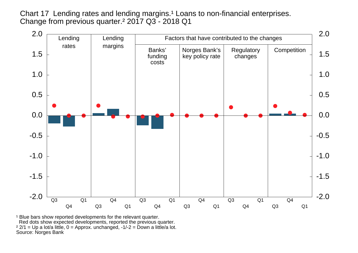Chart 17 Lending rates and lending margins.<sup>1</sup> Loans to non-financial enterprises. Change from previous quarter.² 2017 Q3 - 2018 Q1



<sup>1</sup> Blue bars show reported developments for the relevant quarter. Red dots show expected developments, reported the previous quarter. ² 2/1 = Up a lot/a little, 0 = Approx. unchanged, -1/-2 = Down a little/a lot.Source: Norges Bank